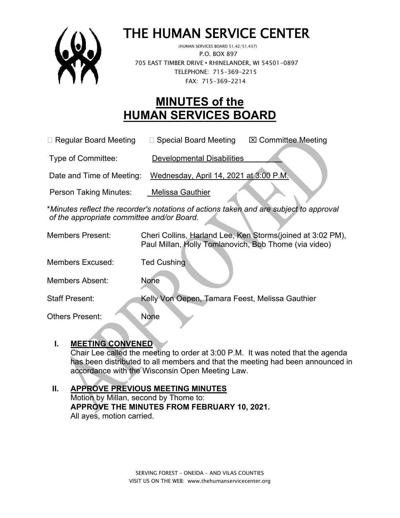

# THE HUMAN SERVICE CENTER

 P.O. BOX 897 705 EAST TIMBER DRIVE **•** RHINELANDER, WI 54501-0897 TELEPHONE: 715-369-2215 FAX: 715-369-2214

## **MINUTES of the HUMAN SERVICES BOARD**

□ Regular Board Meeting □ Special Board Meeting  $\Box$  Committee Meeting

Type of Committee: Developmental Disabilities

Date and Time of Meeting: Wednesday, April 14, 2021 at 3:00 P.M.

Person Taking Minutes: Melissa Gauthier

\**Minutes reflect the recorder's notations of actions taken and are subject to approval of the appropriate committee and/or Board.*

| <b>Members Present:</b> | Cheri Collins, Harland Lee, Ken Storms (joined at 3:02 PM),<br>Paul Millan, Holly Tomlanovich, Bob Thome (via video) |
|-------------------------|----------------------------------------------------------------------------------------------------------------------|
| <b>Members Excused:</b> | <b>Ted Cushing</b>                                                                                                   |
| Members Absent:         | None                                                                                                                 |
| Staff Present:          | Kelly Von Oepen, Tamara Feest, Melissa Gauthier                                                                      |
| <b>Others Present:</b>  | <b>None</b>                                                                                                          |

#### **I. MEETING CONVENED**

Chair Lee called the meeting to order at 3:00 P.M. It was noted that the agenda has been distributed to all members and that the meeting had been announced in accordance with the Wisconsin Open Meeting Law.

#### **II. APPROVE PREVIOUS MEETING MINUTES**  Motion by Millan, second by Thome to: **APPROVE THE MINUTES FROM FEBRUARY 10, 2021.** All ayes, motion carried.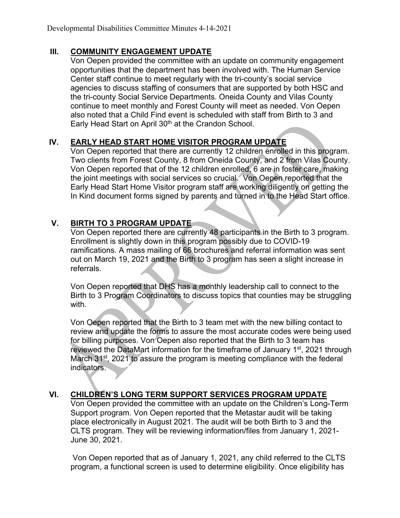#### **III. COMMUNITY ENGAGEMENT UPDATE**

Von Oepen provided the committee with an update on community engagement opportunities that the department has been involved with. The Human Service Center staff continue to meet regularly with the tri-county's social service agencies to discuss staffing of consumers that are supported by both HSC and the tri-county Social Service Departments. Oneida County and Vilas County continue to meet monthly and Forest County will meet as needed. Von Oepen also noted that a Child Find event is scheduled with staff from Birth to 3 and Early Head Start on April 30<sup>th</sup> at the Crandon School.

### **IV. EARLY HEAD START HOME VISITOR PROGRAM UPDATE**

Von Oepen reported that there are currently 12 children enrolled in this program. Two clients from Forest County, 8 from Oneida County, and 2 from Vilas County. Von Oepen reported that of the 12 children enrolled, 6 are in foster care, making the joint meetings with social services so crucial. Von Oepen reported that the Early Head Start Home Visitor program staff are working diligently on getting the In Kind document forms signed by parents and turned in to the Head Start office.

#### **V. BIRTH TO 3 PROGRAM UPDATE**

Von Oepen reported there are currently 48 participants in the Birth to 3 program. Enrollment is slightly down in this program possibly due to COVID-19 ramifications. A mass mailing of 66 brochures and referral information was sent out on March 19, 2021 and the Birth to 3 program has seen a slight increase in referrals.

Von Oepen reported that DHS has a monthly leadership call to connect to the Birth to 3 Program Coordinators to discuss topics that counties may be struggling with.

Von Oepen reported that the Birth to 3 team met with the new billing contact to review and update the forms to assure the most accurate codes were being used for billing purposes. Von Oepen also reported that the Birth to 3 team has reviewed the DataMart information for the timeframe of January 1<sup>st</sup>, 2021 through March 31<sup>st</sup>, 2021 to assure the program is meeting compliance with the federal indicators.

#### **VI. CHILDREN'S LONG TERM SUPPORT SERVICES PROGRAM UPDATE**

Von Oepen provided the committee with an update on the Children's Long-Term Support program. Von Oepen reported that the Metastar audit will be taking place electronically in August 2021. The audit will be both Birth to 3 and the CLTS program. They will be reviewing information/files from January 1, 2021- June 30, 2021.

Von Oepen reported that as of January 1, 2021, any child referred to the CLTS program, a functional screen is used to determine eligibility. Once eligibility has